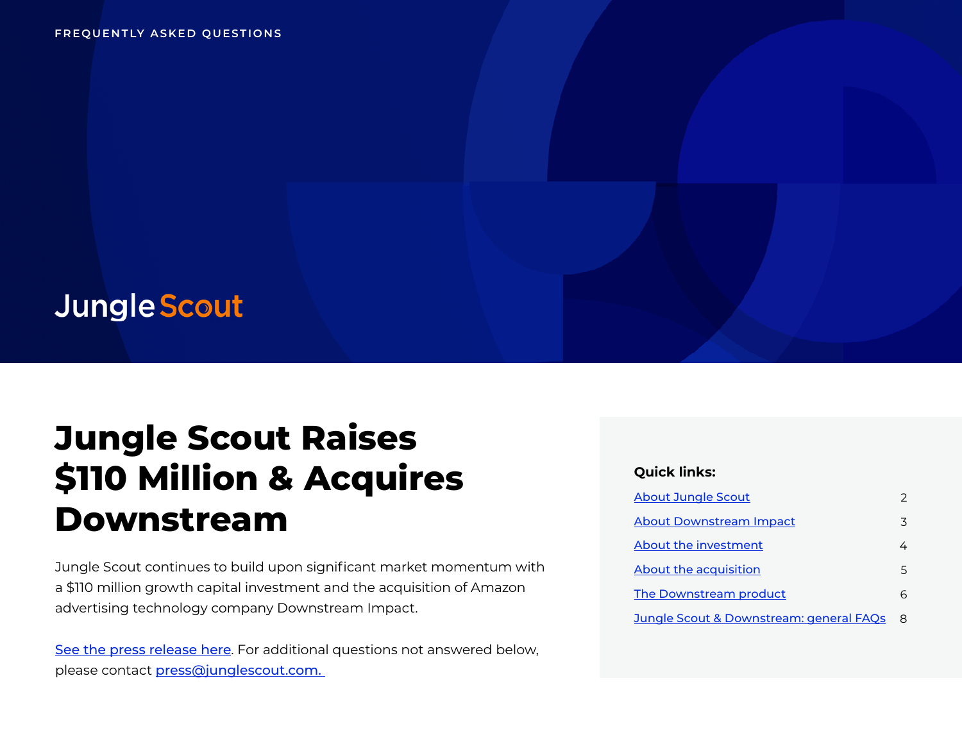## **Jungle Scout**

# **Jungle Scout Raises \$110 Million & Acquires Downstream**

Jungle Scout continues to build upon significant market momentum with a \$110 million growth capital investment and the acquisition of Amazon advertising technology company Downstream Impact.

[See the press release here](https://www.junglescout.com/press/press-releases/jungle-scout-announces-110-million-plus-downstream/?utm_source=faq&utm_medium=pdf&utm_campaign=downstream-announcement). For additional questions not answered below, please contact [press@junglescout.com.](mailto:press@junglescout.com) 

#### **Quick links:**

| <b>About Jungle Scout</b>               |   |
|-----------------------------------------|---|
| <b>About Downstream Impact</b>          | ζ |
| About the investment                    |   |
| About the acquisition                   | 5 |
| The Downstream product                  |   |
| Jungle Scout & Downstream: general FAQs |   |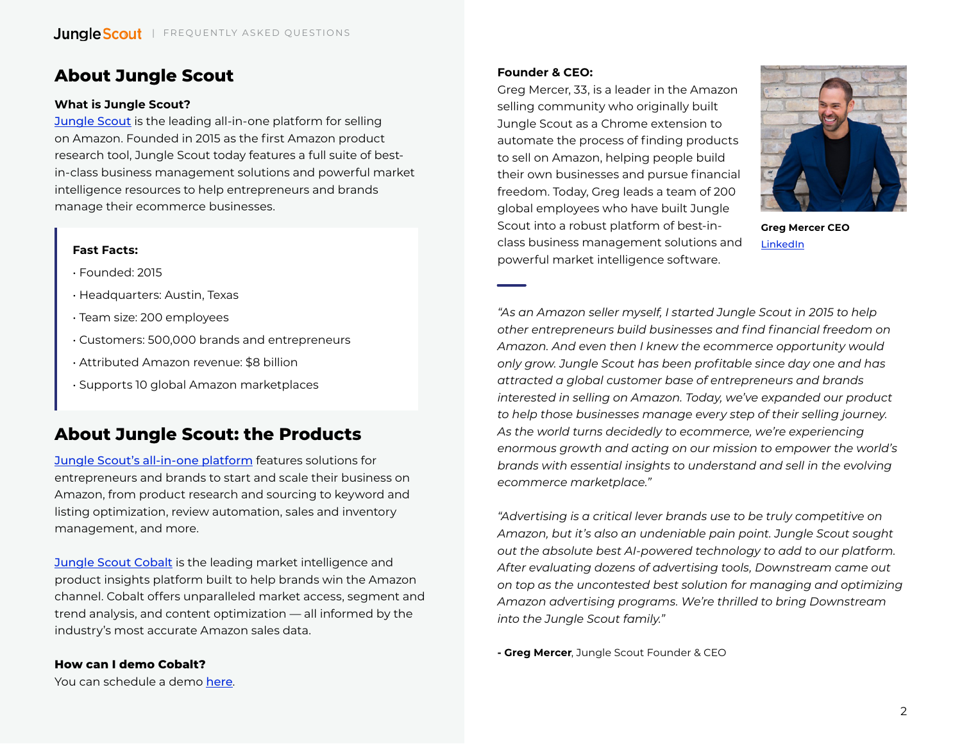## <span id="page-1-0"></span>**About Jungle Scout**

#### **What is Jungle Scout?**

[Jungle Scout](https://www.junglescout.com/?utm_source=faq&utm_medium=pdf&utm_campaign=downstream-announcement) is the leading all-in-one platform for selling on Amazon. Founded in 2015 as the first Amazon product research tool, Jungle Scout today features a full suite of bestin-class business management solutions and powerful market intelligence resources to help entrepreneurs and brands manage their ecommerce businesses.

#### **Fast Facts:**

- Founded: 2015
- Headquarters: Austin, Texas
- Team size: 200 employees
- Customers: 500,000 brands and entrepreneurs
- Attributed Amazon revenue: \$8 billion
- Supports 10 global Amazon marketplaces

## **About Jungle Scout: the Products**

[Jungle Scout's all-in-one platform](https://www.junglescout.com/products/jungle-scout/?utm_source=faq&utm_medium=pdf&utm_campaign=downstream-announcement) features solutions for entrepreneurs and brands to start and scale their business on Amazon, from product research and sourcing to keyword and listing optimization, review automation, sales and inventory management, and more.

[Jungle Scout Cobalt](https://www.junglescout.com/solutions/brands-agencies/?utm_source=faq&utm_medium=pdf&utm_campaign=downstream-announcement) is the leading market intelligence and product insights platform built to help brands win the Amazon channel. Cobalt offers unparalleled market access, segment and trend analysis, and content optimization — all informed by the industry's most accurate Amazon sales data.

#### **Founder & CEO:**

Greg Mercer, 33, is a leader in the Amazon selling community who originally built Jungle Scout as a Chrome extension to automate the process of finding products to sell on Amazon, helping people build their own businesses and pursue financial freedom. Today, Greg leads a team of 200 global employees who have built Jungle Scout into a robust platform of best-inclass business management solutions and powerful market intelligence software.



**Greg Mercer CEO** LinkedIn

*"As an Amazon seller myself, I started Jungle Scout in 2015 to help other entrepreneurs build businesses and find financial freedom on Amazon. And even then I knew the ecommerce opportunity would only grow. Jungle Scout has been profitable since day one and has attracted a global customer base of entrepreneurs and brands interested in selling on Amazon. Today, we've expanded our product to help those businesses manage every step of their selling journey. As the world turns decidedly to ecommerce, we're experiencing enormous growth and acting on our mission to empower the world's brands with essential insights to understand and sell in the evolving ecommerce marketplace."*

*"Advertising is a critical lever brands use to be truly competitive on Amazon, but it's also an undeniable pain point. Jungle Scout sought out the absolute best AI-powered technology to add to our platform. After evaluating dozens of advertising tools, Downstream came out on top as the uncontested best solution for managing and optimizing Amazon advertising programs. We're thrilled to bring Downstream into the Jungle Scout family."*

**- Greg Mercer**, Jungle Scout Founder & CEO

**How can I demo Cobalt?** You can schedule a demo [here](https://www.junglescout.com/demo/?utm_source=faq&utm_medium=pdf&utm_campaign=downstream-announcement).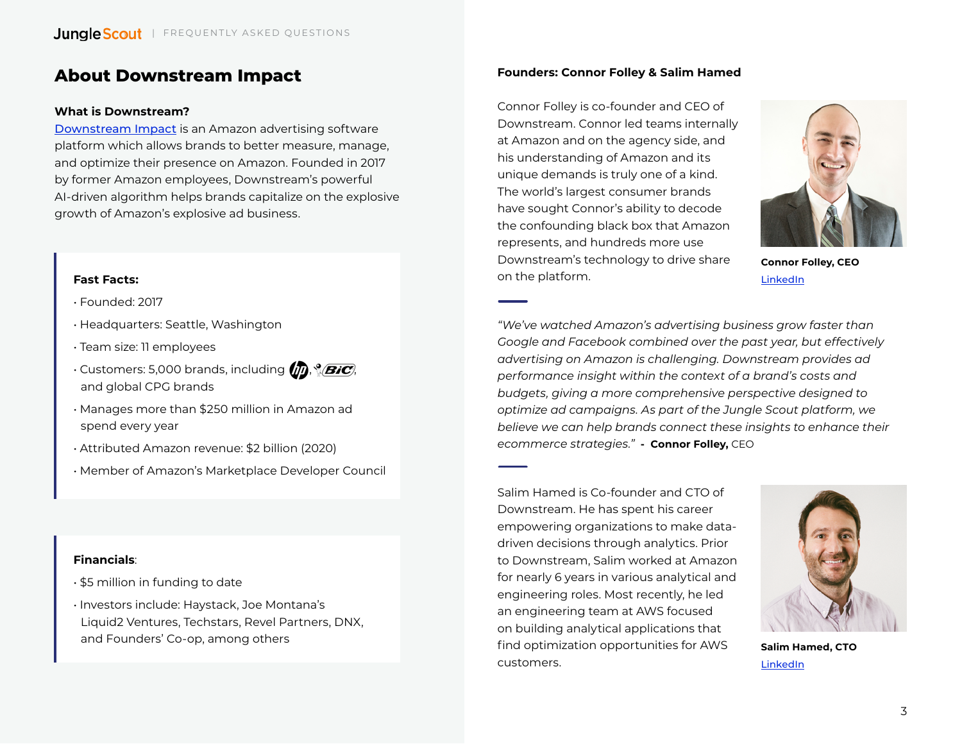## <span id="page-2-0"></span>**About Downstream Impact**

#### **What is Downstream?**

[Downstream Impact](https://www.downstreamimpact.com/?utm_source=faq&utm_medium=pdf&utm_campaign=downstream-announcement) is an Amazon advertising software platform which allows brands to better measure, manage, and optimize their presence on Amazon. Founded in 2017 by former Amazon employees, Downstream's powerful AI-driven algorithm helps brands capitalize on the explosive growth of Amazon's explosive ad business.

#### **Fast Facts:**

• Founded: 2017

- Headquarters: Seattle, Washington
- Team size: 11 employees
- Customers: 5,000 brands, including  $(p)$ ,  $\mathscr{BIC}$ , and global CPG brands
- Manages more than \$250 million in Amazon ad spend every year
- Attributed Amazon revenue: \$2 billion (2020)
- Member of Amazon's Marketplace Developer Council

#### **Financials**:

- \$5 million in funding to date
- Investors include: Haystack, Joe Montana's Liquid2 Ventures, Techstars, Revel Partners, DNX, and Founders' Co-op, among others

#### **Founders: Connor Folley & Salim Hamed**

Connor Folley is co-founder and CEO of Downstream. Connor led teams internally at Amazon and on the agency side, and his understanding of Amazon and its unique demands is truly one of a kind. The world's largest consumer brands have sought Connor's ability to decode the confounding black box that Amazon represents, and hundreds more use Downstream's technology to drive share on the platform.



**Connor Folley, CEO** [LinkedIn](https://www.linkedin.com/in/ctfolley/)

*"We've watched Amazon's advertising business grow faster than Google and Facebook combined over the past year, but effectively advertising on Amazon is challenging. Downstream provides ad performance insight within the context of a brand's costs and budgets, giving a more comprehensive perspective designed to optimize ad campaigns. As part of the Jungle Scout platform, we believe we can help brands connect these insights to enhance their ecommerce strategies."* **- Connor Folley,** CEO

Salim Hamed is Co-founder and CTO of Downstream. He has spent his career empowering organizations to make datadriven decisions through analytics. Prior to Downstream, Salim worked at Amazon for nearly 6 years in various analytical and engineering roles. Most recently, he led an engineering team at AWS focused on building analytical applications that find optimization opportunities for AWS customers.



**Salim Hamed, CTO** [LinkedIn](https://www.linkedin.com/in/salim-hamed/)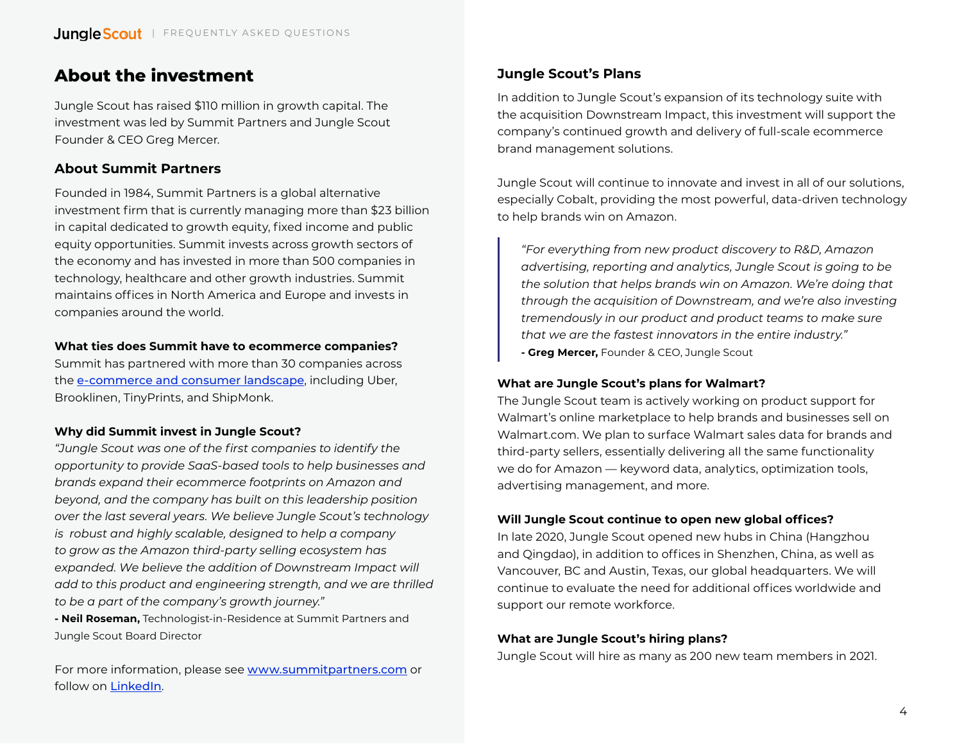## <span id="page-3-0"></span>**About the investment**

Jungle Scout has raised \$110 million in growth capital. The investment was led by Summit Partners and Jungle Scout Founder & CEO Greg Mercer.

## **About Summit Partners**

Founded in 1984, Summit Partners is a global alternative investment firm that is currently managing more than \$23 billion in capital dedicated to growth equity, fixed income and public equity opportunities. Summit invests across growth sectors of the economy and has invested in more than 500 companies in technology, healthcare and other growth industries. Summit maintains offices in North America and Europe and invests in companies around the world.

#### **What ties does Summit have to ecommerce companies?**

Summit has partnered with more than 30 companies across the [e-commerce and consumer landscape](https://www.summitpartners.com/companies/sector/internet-e-commerce), including Uber, Brooklinen, TinyPrints, and ShipMonk.

#### **Why did Summit invest in Jungle Scout?**

*"Jungle Scout was one of the first companies to identify the opportunity to provide SaaS-based tools to help businesses and brands expand their ecommerce footprints on Amazon and beyond, and the company has built on this leadership position over the last several years. We believe Jungle Scout's technology is robust and highly scalable, designed to help a company to grow as the Amazon third-party selling ecosystem has expanded. We believe the addition of Downstream Impact will add to this product and engineering strength, and we are thrilled to be a part of the company's growth journey."* **- Neil Roseman,** Technologist-in-Residence at Summit Partners and Jungle Scout Board Director

For more information, please see [www.summitpartners.com](https://www.summitpartners.com/) or follow on [LinkedIn](https://www.linkedin.com/company/summit-partners).

## **Jungle Scout's Plans**

In addition to Jungle Scout's expansion of its technology suite with the acquisition Downstream Impact, this investment will support the company's continued growth and delivery of full-scale ecommerce brand management solutions.

Jungle Scout will continue to innovate and invest in all of our solutions, especially Cobalt, providing the most powerful, data-driven technology to help brands win on Amazon.

*"For everything from new product discovery to R&D, Amazon advertising, reporting and analytics, Jungle Scout is going to be the solution that helps brands win on Amazon. We're doing that through the acquisition of Downstream, and we're also investing tremendously in our product and product teams to make sure that we are the fastest innovators in the entire industry."*  **- Greg Mercer,** Founder & CEO, Jungle Scout

#### **What are Jungle Scout's plans for Walmart?**

The Jungle Scout team is actively working on product support for Walmart's online marketplace to help brands and businesses sell on Walmart.com. We plan to surface Walmart sales data for brands and third-party sellers, essentially delivering all the same functionality we do for Amazon — keyword data, analytics, optimization tools, advertising management, and more.

#### **Will Jungle Scout continue to open new global offices?**

In late 2020, Jungle Scout opened new hubs in China (Hangzhou and Qingdao), in addition to offices in Shenzhen, China, as well as Vancouver, BC and Austin, Texas, our global headquarters. We will continue to evaluate the need for additional offices worldwide and support our remote workforce.

#### **What are Jungle Scout's hiring plans?**

Jungle Scout will hire as many as 200 new team members in 2021.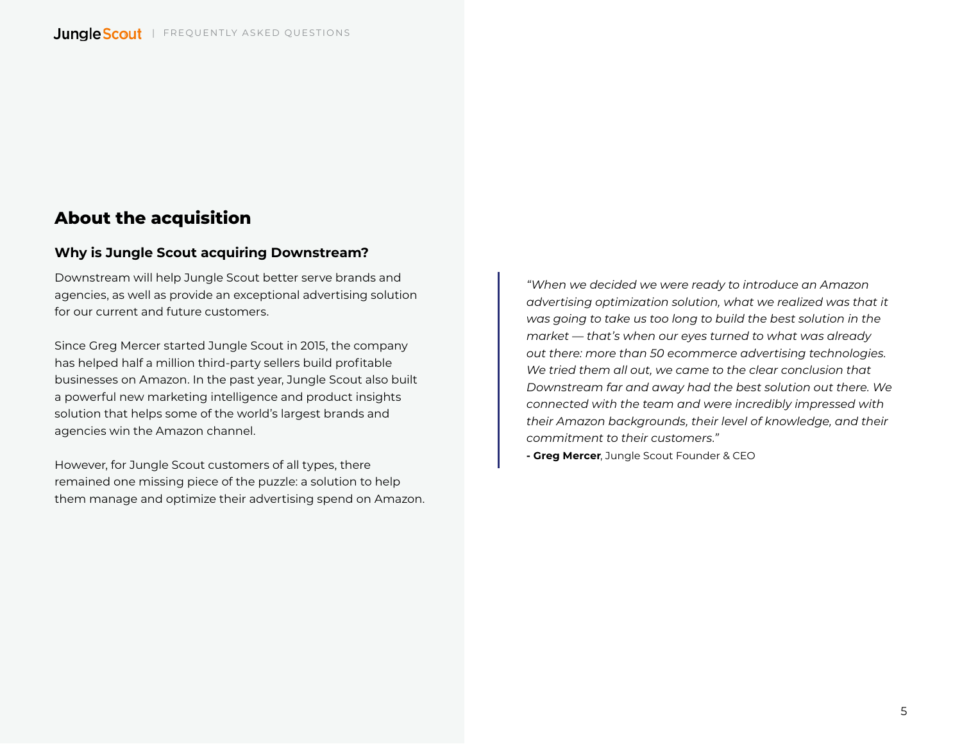## <span id="page-4-0"></span>**About the acquisition**

### **Why is Jungle Scout acquiring Downstream?**

Downstream will help Jungle Scout better serve brands and agencies, as well as provide an exceptional advertising solution for our current and future customers.

Since Greg Mercer started Jungle Scout in 2015, the company has helped half a million third-party sellers build profitable businesses on Amazon. In the past year, Jungle Scout also built a powerful new marketing intelligence and product insights solution that helps some of the world's largest brands and agencies win the Amazon channel.

However, for Jungle Scout customers of all types, there remained one missing piece of the puzzle: a solution to help them manage and optimize their advertising spend on Amazon. *"When we decided we were ready to introduce an Amazon advertising optimization solution, what we realized was that it was going to take us too long to build the best solution in the market — that's when our eyes turned to what was already out there: more than 50 ecommerce advertising technologies. We tried them all out, we came to the clear conclusion that Downstream far and away had the best solution out there. We connected with the team and were incredibly impressed with their Amazon backgrounds, their level of knowledge, and their commitment to their customers."* 

**- Greg Mercer**, Jungle Scout Founder & CEO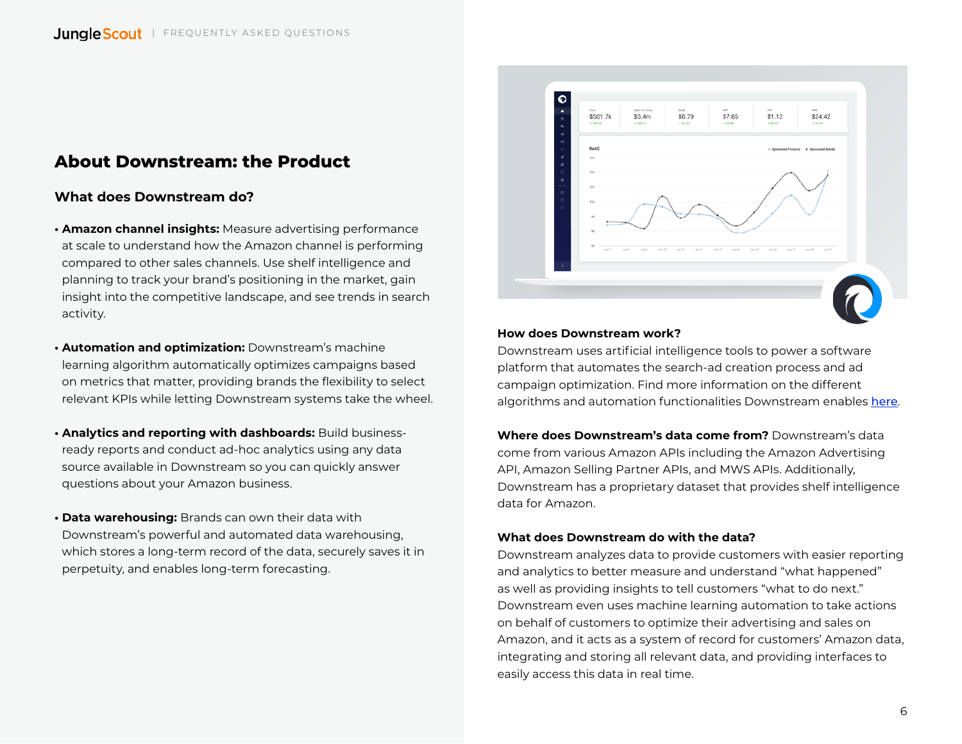## <span id="page-5-0"></span>**About Downstream: the Product**

#### **What does Downstream do?**

- **Amazon channel insights:** Measure advertising performance at scale to understand how the Amazon channel is performing compared to other sales channels. Use shelf intelligence and planning to track your brand's positioning in the market, gain insight into the competitive landscape, and see trends in search activity.
- **Automation and optimization:** Downstream's machine learning algorithm automatically optimizes campaigns based on metrics that matter, providing brands the flexibility to select relevant KPIs while letting Downstream systems take the wheel.
- **Analytics and reporting with dashboards:** Build businessready reports and conduct ad-hoc analytics using any data source available in Downstream so you can quickly answer questions about your Amazon business.
- **Data warehousing:** Brands can own their data with Downstream's powerful and automated data warehousing, which stores a long-term record of the data, securely saves it in perpetuity, and enables long-term forecasting.



#### **How does Downstream work?**

Downstream uses artificial intelligence tools to power a software platform that automates the search-ad creation process and ad campaign optimization. Find more information on the different algorithms and automation functionalities Downstream enables [here](https://docs.downstreamimpact.com/categories/automation?utm_source=faq&utm_medium=pdf&utm_campaign=downstream-announcement).

**Where does Downstream's data come from?** Downstream's data come from various Amazon APIs including the Amazon Advertising API, Amazon Selling Partner APIs, and MWS APIs. Additionally, Downstream has a proprietary dataset that provides shelf intelligence data for Amazon.

#### **What does Downstream do with the data?**

Downstream analyzes data to provide customers with easier reporting and analytics to better measure and understand "what happened" as well as providing insights to tell customers "what to do next." Downstream even uses machine learning automation to take actions on behalf of customers to optimize their advertising and sales on Amazon, and it acts as a system of record for customers' Amazon data, integrating and storing all relevant data, and providing interfaces to easily access this data in real time.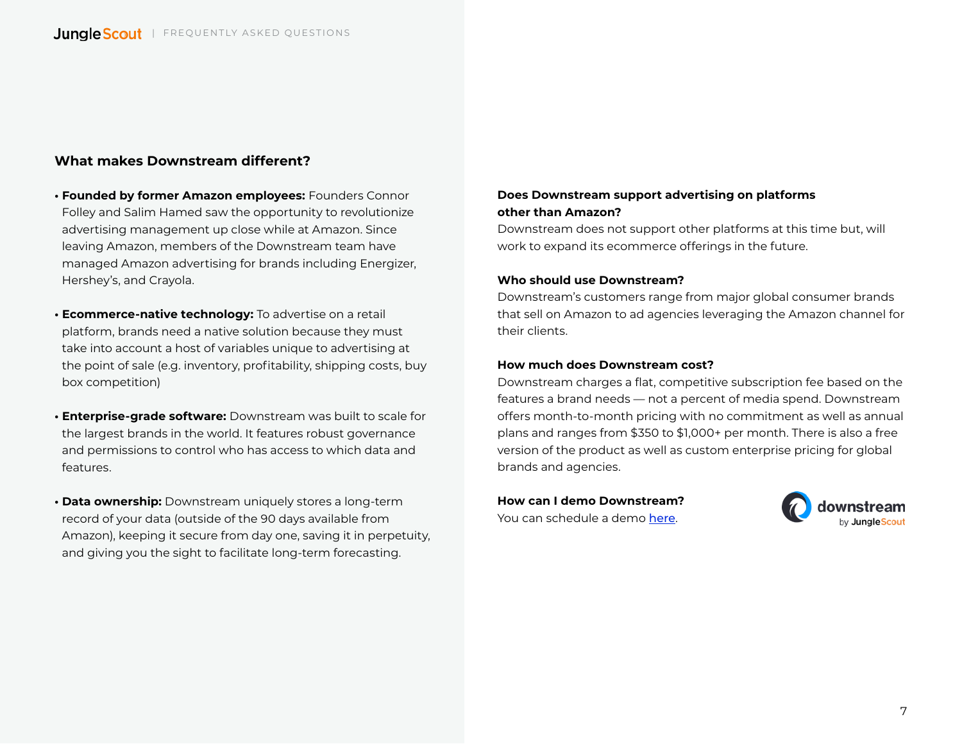#### **What makes Downstream different?**

- **Founded by former Amazon employees:** Founders Connor Folley and Salim Hamed saw the opportunity to revolutionize advertising management up close while at Amazon. Since leaving Amazon, members of the Downstream team have managed Amazon advertising for brands including Energizer, Hershey's, and Crayola.
- **Ecommerce-native technology:** To advertise on a retail platform, brands need a native solution because they must take into account a host of variables unique to advertising at the point of sale (e.g. inventory, profitability, shipping costs, buy box competition)
- **Enterprise-grade software:** Downstream was built to scale for the largest brands in the world. It features robust governance and permissions to control who has access to which data and features.
- **Data ownership:** Downstream uniquely stores a long-term record of your data (outside of the 90 days available from Amazon), keeping it secure from day one, saving it in perpetuity, and giving you the sight to facilitate long-term forecasting.

#### **Does Downstream support advertising on platforms other than Amazon?**

Downstream does not support other platforms at this time but, will work to expand its ecommerce offerings in the future.

#### **Who should use Downstream?**

Downstream's customers range from major global consumer brands that sell on Amazon to ad agencies leveraging the Amazon channel for their clients.

#### **How much does Downstream cost?**

Downstream charges a flat, competitive subscription fee based on the features a brand needs — not a percent of media spend. Downstream offers month-to-month pricing with no commitment as well as annual plans and ranges from \$350 to \$1,000+ per month. There is also a free version of the product as well as custom enterprise pricing for global brands and agencies.

**How can I demo Downstream?** You can schedule a demo [here](https://www.junglescout.com/demo/?utm_source=faq&utm_medium=pdf&utm_campaign=downstream-announcement).